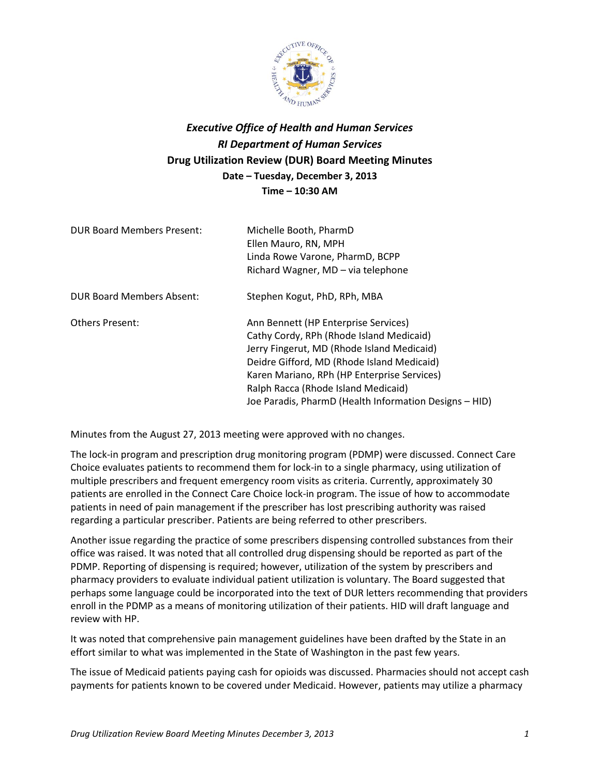

## *Executive Office of Health and Human Services RI Department of Human Services* **Drug Utilization Review (DUR) Board Meeting Minutes Date – Tuesday, December 3, 2013 Time – 10:30 AM**

| <b>DUR Board Members Present:</b> | Michelle Booth, PharmD<br>Ellen Mauro, RN, MPH<br>Linda Rowe Varone, PharmD, BCPP<br>Richard Wagner, MD - via telephone                                                                                                                                                                                                      |
|-----------------------------------|------------------------------------------------------------------------------------------------------------------------------------------------------------------------------------------------------------------------------------------------------------------------------------------------------------------------------|
| DUR Board Members Absent:         | Stephen Kogut, PhD, RPh, MBA                                                                                                                                                                                                                                                                                                 |
| <b>Others Present:</b>            | Ann Bennett (HP Enterprise Services)<br>Cathy Cordy, RPh (Rhode Island Medicaid)<br>Jerry Fingerut, MD (Rhode Island Medicaid)<br>Deidre Gifford, MD (Rhode Island Medicaid)<br>Karen Mariano, RPh (HP Enterprise Services)<br>Ralph Racca (Rhode Island Medicaid)<br>Joe Paradis, PharmD (Health Information Designs - HID) |

Minutes from the August 27, 2013 meeting were approved with no changes.

The lock-in program and prescription drug monitoring program (PDMP) were discussed. Connect Care Choice evaluates patients to recommend them for lock-in to a single pharmacy, using utilization of multiple prescribers and frequent emergency room visits as criteria. Currently, approximately 30 patients are enrolled in the Connect Care Choice lock-in program. The issue of how to accommodate patients in need of pain management if the prescriber has lost prescribing authority was raised regarding a particular prescriber. Patients are being referred to other prescribers.

Another issue regarding the practice of some prescribers dispensing controlled substances from their office was raised. It was noted that all controlled drug dispensing should be reported as part of the PDMP. Reporting of dispensing is required; however, utilization of the system by prescribers and pharmacy providers to evaluate individual patient utilization is voluntary. The Board suggested that perhaps some language could be incorporated into the text of DUR letters recommending that providers enroll in the PDMP as a means of monitoring utilization of their patients. HID will draft language and review with HP.

It was noted that comprehensive pain management guidelines have been drafted by the State in an effort similar to what was implemented in the State of Washington in the past few years.

The issue of Medicaid patients paying cash for opioids was discussed. Pharmacies should not accept cash payments for patients known to be covered under Medicaid. However, patients may utilize a pharmacy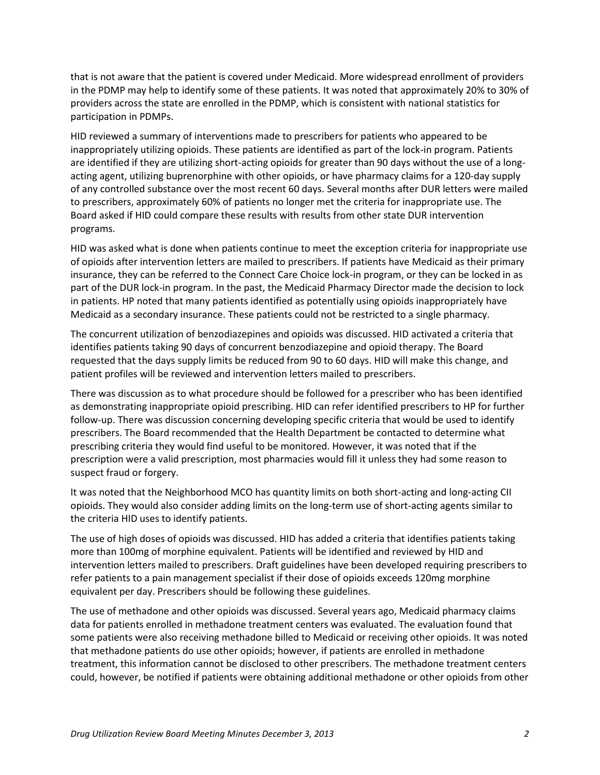that is not aware that the patient is covered under Medicaid. More widespread enrollment of providers in the PDMP may help to identify some of these patients. It was noted that approximately 20% to 30% of providers across the state are enrolled in the PDMP, which is consistent with national statistics for participation in PDMPs.

HID reviewed a summary of interventions made to prescribers for patients who appeared to be inappropriately utilizing opioids. These patients are identified as part of the lock-in program. Patients are identified if they are utilizing short-acting opioids for greater than 90 days without the use of a longacting agent, utilizing buprenorphine with other opioids, or have pharmacy claims for a 120-day supply of any controlled substance over the most recent 60 days. Several months after DUR letters were mailed to prescribers, approximately 60% of patients no longer met the criteria for inappropriate use. The Board asked if HID could compare these results with results from other state DUR intervention programs.

HID was asked what is done when patients continue to meet the exception criteria for inappropriate use of opioids after intervention letters are mailed to prescribers. If patients have Medicaid as their primary insurance, they can be referred to the Connect Care Choice lock-in program, or they can be locked in as part of the DUR lock-in program. In the past, the Medicaid Pharmacy Director made the decision to lock in patients. HP noted that many patients identified as potentially using opioids inappropriately have Medicaid as a secondary insurance. These patients could not be restricted to a single pharmacy.

The concurrent utilization of benzodiazepines and opioids was discussed. HID activated a criteria that identifies patients taking 90 days of concurrent benzodiazepine and opioid therapy. The Board requested that the days supply limits be reduced from 90 to 60 days. HID will make this change, and patient profiles will be reviewed and intervention letters mailed to prescribers.

There was discussion as to what procedure should be followed for a prescriber who has been identified as demonstrating inappropriate opioid prescribing. HID can refer identified prescribers to HP for further follow-up. There was discussion concerning developing specific criteria that would be used to identify prescribers. The Board recommended that the Health Department be contacted to determine what prescribing criteria they would find useful to be monitored. However, it was noted that if the prescription were a valid prescription, most pharmacies would fill it unless they had some reason to suspect fraud or forgery.

It was noted that the Neighborhood MCO has quantity limits on both short-acting and long-acting CII opioids. They would also consider adding limits on the long-term use of short-acting agents similar to the criteria HID uses to identify patients.

The use of high doses of opioids was discussed. HID has added a criteria that identifies patients taking more than 100mg of morphine equivalent. Patients will be identified and reviewed by HID and intervention letters mailed to prescribers. Draft guidelines have been developed requiring prescribers to refer patients to a pain management specialist if their dose of opioids exceeds 120mg morphine equivalent per day. Prescribers should be following these guidelines.

The use of methadone and other opioids was discussed. Several years ago, Medicaid pharmacy claims data for patients enrolled in methadone treatment centers was evaluated. The evaluation found that some patients were also receiving methadone billed to Medicaid or receiving other opioids. It was noted that methadone patients do use other opioids; however, if patients are enrolled in methadone treatment, this information cannot be disclosed to other prescribers. The methadone treatment centers could, however, be notified if patients were obtaining additional methadone or other opioids from other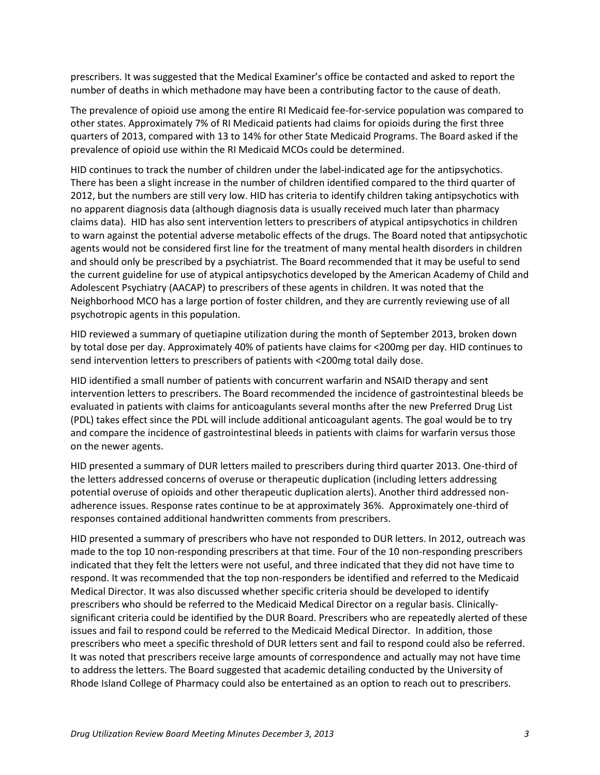prescribers. It was suggested that the Medical Examiner's office be contacted and asked to report the number of deaths in which methadone may have been a contributing factor to the cause of death.

The prevalence of opioid use among the entire RI Medicaid fee-for-service population was compared to other states. Approximately 7% of RI Medicaid patients had claims for opioids during the first three quarters of 2013, compared with 13 to 14% for other State Medicaid Programs. The Board asked if the prevalence of opioid use within the RI Medicaid MCOs could be determined.

HID continues to track the number of children under the label-indicated age for the antipsychotics. There has been a slight increase in the number of children identified compared to the third quarter of 2012, but the numbers are still very low. HID has criteria to identify children taking antipsychotics with no apparent diagnosis data (although diagnosis data is usually received much later than pharmacy claims data). HID has also sent intervention letters to prescribers of atypical antipsychotics in children to warn against the potential adverse metabolic effects of the drugs. The Board noted that antipsychotic agents would not be considered first line for the treatment of many mental health disorders in children and should only be prescribed by a psychiatrist. The Board recommended that it may be useful to send the current guideline for use of atypical antipsychotics developed by the American Academy of Child and Adolescent Psychiatry (AACAP) to prescribers of these agents in children. It was noted that the Neighborhood MCO has a large portion of foster children, and they are currently reviewing use of all psychotropic agents in this population.

HID reviewed a summary of quetiapine utilization during the month of September 2013, broken down by total dose per day. Approximately 40% of patients have claims for <200mg per day. HID continues to send intervention letters to prescribers of patients with <200mg total daily dose.

HID identified a small number of patients with concurrent warfarin and NSAID therapy and sent intervention letters to prescribers. The Board recommended the incidence of gastrointestinal bleeds be evaluated in patients with claims for anticoagulants several months after the new Preferred Drug List (PDL) takes effect since the PDL will include additional anticoagulant agents. The goal would be to try and compare the incidence of gastrointestinal bleeds in patients with claims for warfarin versus those on the newer agents.

HID presented a summary of DUR letters mailed to prescribers during third quarter 2013. One-third of the letters addressed concerns of overuse or therapeutic duplication (including letters addressing potential overuse of opioids and other therapeutic duplication alerts). Another third addressed nonadherence issues. Response rates continue to be at approximately 36%. Approximately one-third of responses contained additional handwritten comments from prescribers.

HID presented a summary of prescribers who have not responded to DUR letters. In 2012, outreach was made to the top 10 non-responding prescribers at that time. Four of the 10 non-responding prescribers indicated that they felt the letters were not useful, and three indicated that they did not have time to respond. It was recommended that the top non-responders be identified and referred to the Medicaid Medical Director. It was also discussed whether specific criteria should be developed to identify prescribers who should be referred to the Medicaid Medical Director on a regular basis. Clinicallysignificant criteria could be identified by the DUR Board. Prescribers who are repeatedly alerted of these issues and fail to respond could be referred to the Medicaid Medical Director. In addition, those prescribers who meet a specific threshold of DUR letters sent and fail to respond could also be referred. It was noted that prescribers receive large amounts of correspondence and actually may not have time to address the letters. The Board suggested that academic detailing conducted by the University of Rhode Island College of Pharmacy could also be entertained as an option to reach out to prescribers.